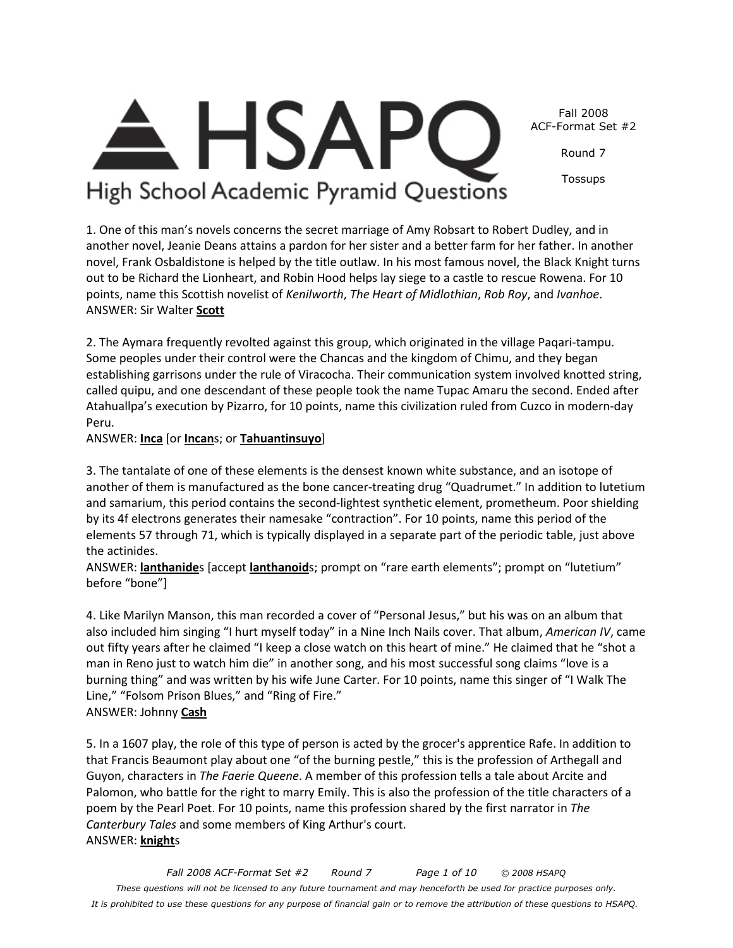*Fall 2008 ACF-Format Set #2 Round 7 Page 1 of 10 © 2008 HSAPQ These questions will not be licensed to any future tournament and may henceforth be used for practice purposes only. It is prohibited to use these questions for any purpose of financial gain or to remove the attribution of these questions to HSAPQ.*



Round 7

Tossups

High School Academic Pyramid Questions

1. One of this man's novels concerns the secret marriage of Amy Robsart to Robert Dudley, and in another novel, Jeanie Deans attains a pardon for her sister and a better farm for her father. In another novel, Frank Osbaldistone is helped by the title outlaw. In his most famous novel, the Black Knight turns out to be Richard the Lionheart, and Robin Hood helps lay siege to a castle to rescue Rowena. For 10 points, name this Scottish novelist of *Kenilworth*, *The Heart of Midlothian*, *Rob Roy*, and *Ivanhoe*. ANSWER: Sir Walter **Scott**

2. The Aymara frequently revolted against this group, which originated in the village Paqari-tampu. Some peoples under their control were the Chancas and the kingdom of Chimu, and they began establishing garrisons under the rule of Viracocha. Their communication system involved knotted string, called quipu, and one descendant of these people took the name Tupac Amaru the second. Ended after Atahuallpa's execution by Pizarro, for 10 points, name this civilization ruled from Cuzco in modern-day Peru.

ANSWER: **Inca** [or **Incan**s; or **Tahuantinsuyo**]

3. The tantalate of one of these elements is the densest known white substance, and an isotope of another of them is manufactured as the bone cancer-treating drug "Quadrumet." In addition to lutetium and samarium, this period contains the second-lightest synthetic element, prometheum. Poor shielding by its 4f electrons generates their namesake "contraction". For 10 points, name this period of the elements 57 through 71, which is typically displayed in a separate part of the periodic table, just above the actinides.

ANSWER: **lanthanide**s [accept **lanthanoid**s; prompt on "rare earth elements"; prompt on "lutetium" before "bone"]

4. Like Marilyn Manson, this man recorded a cover of "Personal Jesus," but his was on an album that also included him singing "I hurt myself today" in a Nine Inch Nails cover. That album, *American IV*, came out fifty years after he claimed "I keep a close watch on this heart of mine." He claimed that he "shot a man in Reno just to watch him die" in another song, and his most successful song claims "love is a burning thing" and was written by his wife June Carter. For 10 points, name this singer of "I Walk The Line," "Folsom Prison Blues," and "Ring of Fire." ANSWER: Johnny **Cash**

5. In a 1607 play, the role of this type of person is acted by the grocer's apprentice Rafe. In addition to that Francis Beaumont play about one "of the burning pestle," this is the profession of Arthegall and Guyon, characters in *The Faerie Queene*. A member of this profession tells a tale about Arcite and Palomon, who battle for the right to marry Emily. This is also the profession of the title characters of a poem by the Pearl Poet. For 10 points, name this profession shared by the first narrator in *The Canterbury Tales* and some members of King Arthur's court. ANSWER: **knight**s

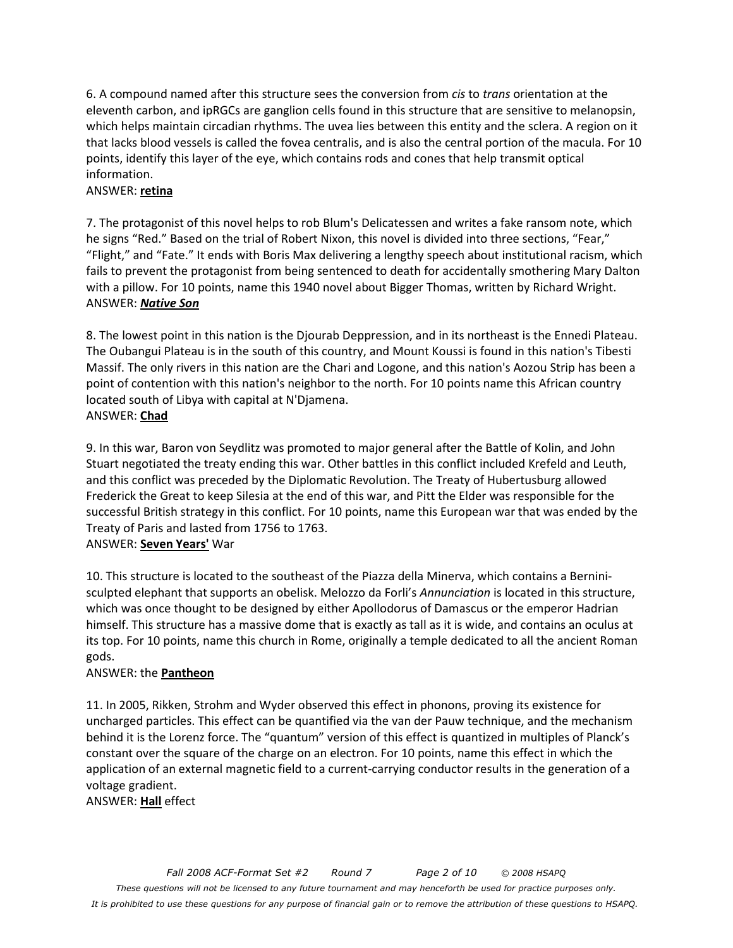6. A compound named after this structure sees the conversion from *cis* to *trans* orientation at the eleventh carbon, and ipRGCs are ganglion cells found in this structure that are sensitive to melanopsin, which helps maintain circadian rhythms. The uvea lies between this entity and the sclera. A region on it that lacks blood vessels is called the fovea centralis, and is also the central portion of the macula. For 10 points, identify this layer of the eye, which contains rods and cones that help transmit optical information.

#### ANSWER: **retina**

7. The protagonist of this novel helps to rob Blum's Delicatessen and writes a fake ransom note, which he signs "Red." Based on the trial of Robert Nixon, this novel is divided into three sections, "Fear," "Flight," and "Fate." It ends with Boris Max delivering a lengthy speech about institutional racism, which fails to prevent the protagonist from being sentenced to death for accidentally smothering Mary Dalton with a pillow. For 10 points, name this 1940 novel about Bigger Thomas, written by Richard Wright. ANSWER: *Native Son*

8. The lowest point in this nation is the Djourab Deppression, and in its northeast is the Ennedi Plateau. The Oubangui Plateau is in the south of this country, and Mount Koussi is found in this nation's Tibesti Massif. The only rivers in this nation are the Chari and Logone, and this nation's Aozou Strip has been a point of contention with this nation's neighbor to the north. For 10 points name this African country located south of Libya with capital at N'Djamena. ANSWER: **Chad**

9. In this war, Baron von Seydlitz was promoted to major general after the Battle of Kolin, and John Stuart negotiated the treaty ending this war. Other battles in this conflict included Krefeld and Leuth, and this conflict was preceded by the Diplomatic Revolution. The Treaty of Hubertusburg allowed Frederick the Great to keep Silesia at the end of this war, and Pitt the Elder was responsible for the successful British strategy in this conflict. For 10 points, name this European war that was ended by the Treaty of Paris and lasted from 1756 to 1763.

#### ANSWER: **Seven Years'** War

10. This structure is located to the southeast of the Piazza della Minerva, which contains a Berninisculpted elephant that supports an obelisk. Melozzo da Forli's *Annunciation* is located in this structure, which was once thought to be designed by either Apollodorus of Damascus or the emperor Hadrian himself. This structure has a massive dome that is exactly as tall as it is wide, and contains an oculus at its top. For 10 points, name this church in Rome, originally a temple dedicated to all the ancient Roman gods.

#### ANSWER: the **Pantheon**

11. In 2005, Rikken, Strohm and Wyder observed this effect in phonons, proving its existence for uncharged particles. This effect can be quantified via the van der Pauw technique, and the mechanism behind it is the Lorenz force. The "quantum" version of this effect is quantized in multiples of Planck's constant over the square of the charge on an electron. For 10 points, name this effect in which the application of an external magnetic field to a current-carrying conductor results in the generation of a voltage gradient.

ANSWER: **Hall** effect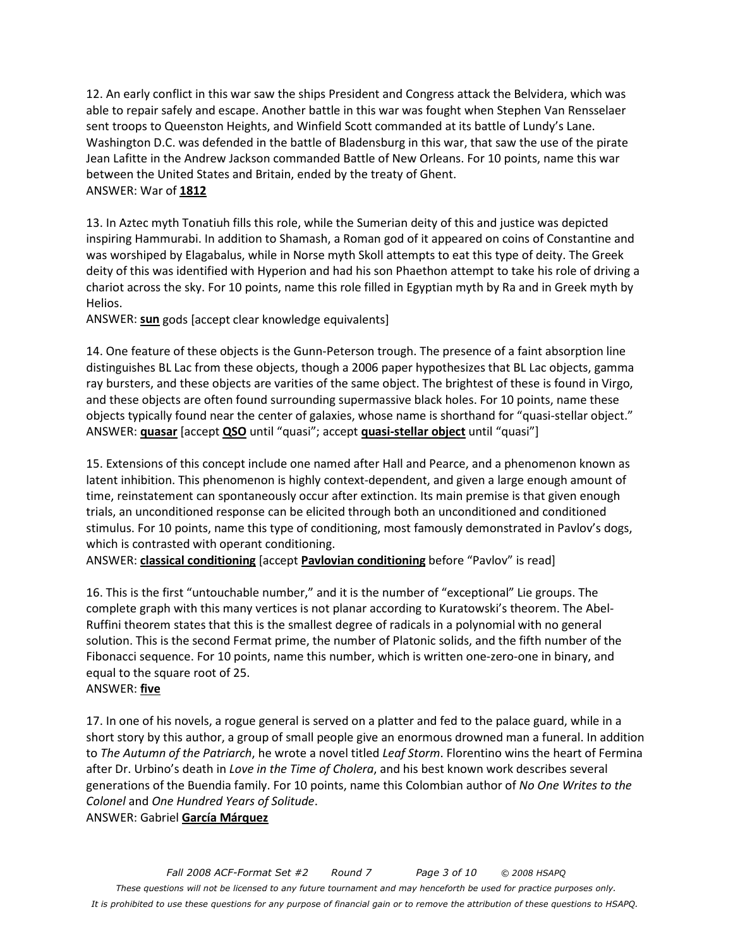12. An early conflict in this war saw the ships President and Congress attack the Belvidera, which was able to repair safely and escape. Another battle in this war was fought when Stephen Van Rensselaer sent troops to Queenston Heights, and Winfield Scott commanded at its battle of Lundy's Lane. Washington D.C. was defended in the battle of Bladensburg in this war, that saw the use of the pirate Jean Lafitte in the Andrew Jackson commanded Battle of New Orleans. For 10 points, name this war between the United States and Britain, ended by the treaty of Ghent. ANSWER: War of **1812**

13. In Aztec myth Tonatiuh fills this role, while the Sumerian deity of this and justice was depicted inspiring Hammurabi. In addition to Shamash, a Roman god of it appeared on coins of Constantine and was worshiped by Elagabalus, while in Norse myth Skoll attempts to eat this type of deity. The Greek deity of this was identified with Hyperion and had his son Phaethon attempt to take his role of driving a chariot across the sky. For 10 points, name this role filled in Egyptian myth by Ra and in Greek myth by Helios.

ANSWER: **sun** gods [accept clear knowledge equivalents]

14. One feature of these objects is the Gunn-Peterson trough. The presence of a faint absorption line distinguishes BL Lac from these objects, though a 2006 paper hypothesizes that BL Lac objects, gamma ray bursters, and these objects are varities of the same object. The brightest of these is found in Virgo, and these objects are often found surrounding supermassive black holes. For 10 points, name these objects typically found near the center of galaxies, whose name is shorthand for "quasi-stellar object." ANSWER: **quasar** [accept **QSO** until "quasi"; accept **quasi-stellar object** until "quasi"]

15. Extensions of this concept include one named after Hall and Pearce, and a phenomenon known as latent inhibition. This phenomenon is highly context-dependent, and given a large enough amount of time, reinstatement can spontaneously occur after extinction. Its main premise is that given enough trials, an unconditioned response can be elicited through both an unconditioned and conditioned stimulus. For 10 points, name this type of conditioning, most famously demonstrated in Pavlov's dogs, which is contrasted with operant conditioning.

ANSWER: **classical conditioning** [accept **Pavlovian conditioning** before "Pavlov" is read]

16. This is the first "untouchable number," and it is the number of "exceptional" Lie groups. The complete graph with this many vertices is not planar according to Kuratowski's theorem. The Abel-Ruffini theorem states that this is the smallest degree of radicals in a polynomial with no general solution. This is the second Fermat prime, the number of Platonic solids, and the fifth number of the Fibonacci sequence. For 10 points, name this number, which is written one-zero-one in binary, and equal to the square root of 25.

#### ANSWER: **five**

17. In one of his novels, a rogue general is served on a platter and fed to the palace guard, while in a short story by this author, a group of small people give an enormous drowned man a funeral. In addition to *The Autumn of the Patriarch*, he wrote a novel titled *Leaf Storm*. Florentino wins the heart of Fermina after Dr. Urbino's death in *Love in the Time of Cholera*, and his best known work describes several generations of the Buendia family. For 10 points, name this Colombian author of *No One Writes to the Colonel* and *One Hundred Years of Solitude*.

ANSWER: Gabriel **García Márquez**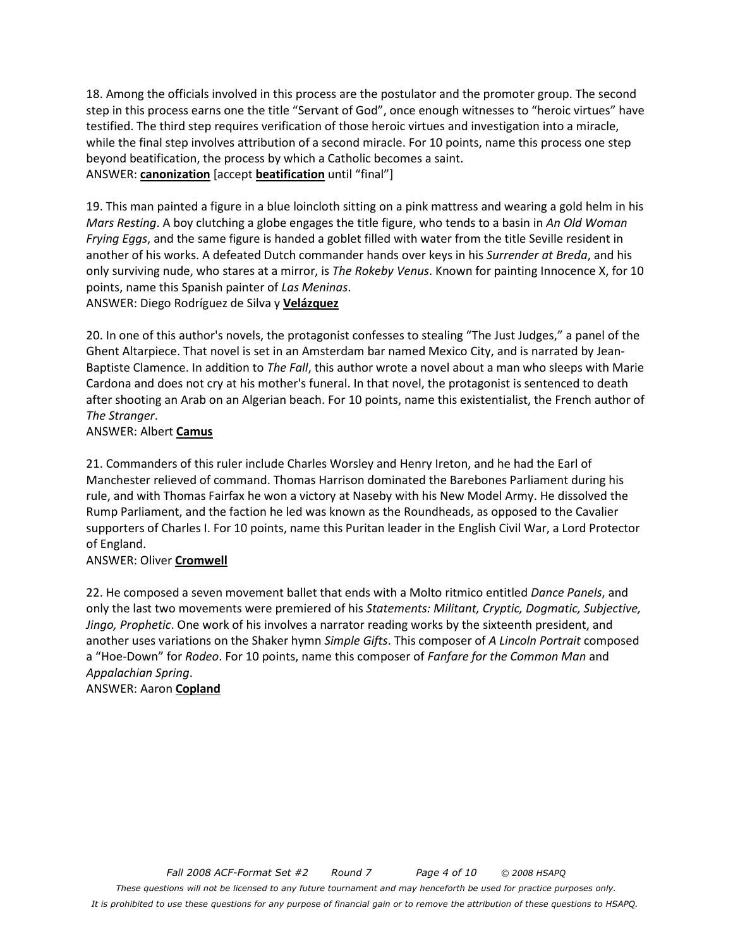18. Among the officials involved in this process are the postulator and the promoter group. The second step in this process earns one the title "Servant of God", once enough witnesses to "heroic virtues" have testified. The third step requires verification of those heroic virtues and investigation into a miracle, while the final step involves attribution of a second miracle. For 10 points, name this process one step beyond beatification, the process by which a Catholic becomes a saint. ANSWER: **canonization** [accept **beatification** until "final"]

19. This man painted a figure in a blue loincloth sitting on a pink mattress and wearing a gold helm in his *Mars Resting*. A boy clutching a globe engages the title figure, who tends to a basin in *An Old Woman Frying Eggs*, and the same figure is handed a goblet filled with water from the title Seville resident in another of his works. A defeated Dutch commander hands over keys in his *Surrender at Breda*, and his only surviving nude, who stares at a mirror, is *The Rokeby Venus*. Known for painting Innocence X, for 10 points, name this Spanish painter of *Las Meninas*.

ANSWER: Diego Rodríguez de Silva y **Velázquez**

20. In one of this author's novels, the protagonist confesses to stealing "The Just Judges," a panel of the Ghent Altarpiece. That novel is set in an Amsterdam bar named Mexico City, and is narrated by Jean-Baptiste Clamence. In addition to *The Fall*, this author wrote a novel about a man who sleeps with Marie Cardona and does not cry at his mother's funeral. In that novel, the protagonist is sentenced to death after shooting an Arab on an Algerian beach. For 10 points, name this existentialist, the French author of *The Stranger*.

## ANSWER: Albert **Camus**

21. Commanders of this ruler include Charles Worsley and Henry Ireton, and he had the Earl of Manchester relieved of command. Thomas Harrison dominated the Barebones Parliament during his rule, and with Thomas Fairfax he won a victory at Naseby with his New Model Army. He dissolved the Rump Parliament, and the faction he led was known as the Roundheads, as opposed to the Cavalier supporters of Charles I. For 10 points, name this Puritan leader in the English Civil War, a Lord Protector of England.

## ANSWER: Oliver **Cromwell**

22. He composed a seven movement ballet that ends with a Molto ritmico entitled *Dance Panels*, and only the last two movements were premiered of his *Statements: Militant, Cryptic, Dogmatic, Subjective, Jingo, Prophetic*. One work of his involves a narrator reading works by the sixteenth president, and another uses variations on the Shaker hymn *Simple Gifts*. This composer of *A Lincoln Portrait* composed a "Hoe-Down" for *Rodeo*. For 10 points, name this composer of *Fanfare for the Common Man* and *Appalachian Spring*. ANSWER: Aaron **Copland**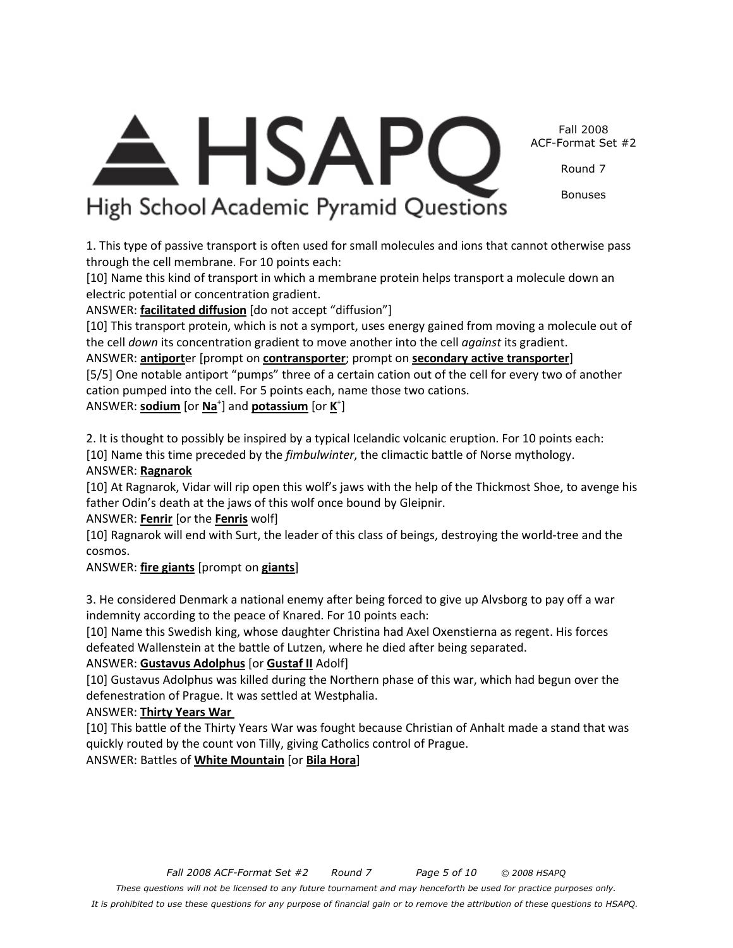*Fall 2008 ACF-Format Set #2 Round 7 Page 5 of 10 © 2008 HSAPQ These questions will not be licensed to any future tournament and may henceforth be used for practice purposes only. It is prohibited to use these questions for any purpose of financial gain or to remove the attribution of these questions to HSAPQ.*

[10] Gustavus Adolphus was killed during the Northern phase of this war, which had begun over the defenestration of Prague. It was settled at Westphalia.

ANSWER: **Thirty Years War** 

ANSWER: **Ragnarok**

ANSWER: **Fenrir** [or the **Fenris** wolf]

[10] This battle of the Thirty Years War was fought because Christian of Anhalt made a stand that was quickly routed by the count von Tilly, giving Catholics control of Prague.

indemnity according to the peace of Knared. For 10 points each: [10] Name this Swedish king, whose daughter Christina had Axel Oxenstierna as regent. His forces defeated Wallenstein at the battle of Lutzen, where he died after being separated.

3. He considered Denmark a national enemy after being forced to give up Alvsborg to pay off a war

cosmos. ANSWER: **fire giants** [prompt on **giants**]

father Odin's death at the jaws of this wolf once bound by Gleipnir.

2. It is thought to possibly be inspired by a typical Icelandic volcanic eruption. For 10 points each: [10] Name this time preceded by the *fimbulwinter*, the climactic battle of Norse mythology.

[10] At Ragnarok, Vidar will rip open this wolf's jaws with the help of the Thickmost Shoe, to avenge his

[10] Ragnarok will end with Surt, the leader of this class of beings, destroying the world-tree and the

the cell *down* its concentration gradient to move another into the cell *against* its gradient.

cation pumped into the cell. For 5 points each, name those two cations. ANSWER: **sodium** [or **Na**<sup>+</sup>] and **potassium** [or **K**<sup>+</sup>]

ANSWER: **antiport**er [prompt on **contransporter**; prompt on **secondary active transporter**] [5/5] One notable antiport "pumps" three of a certain cation out of the cell for every two of another

1. This type of passive transport is often used for small molecules and ions that cannot otherwise pass

[10] This transport protein, which is not a symport, uses energy gained from moving a molecule out of

[10] Name this kind of transport in which a membrane protein helps transport a molecule down an electric potential or concentration gradient. ANSWER: **facilitated diffusion** [do not accept "diffusion"]

through the cell membrane. For 10 points each:

**HSAP** High School Academic Pyramid Questions

Fall 2008 ACF-Format Set #2

Round 7

Bonuses

ANSWER: **Gustavus Adolphus** [or **Gustaf II** Adolf]

ANSWER: Battles of **White Mountain** [or **Bila Hora**]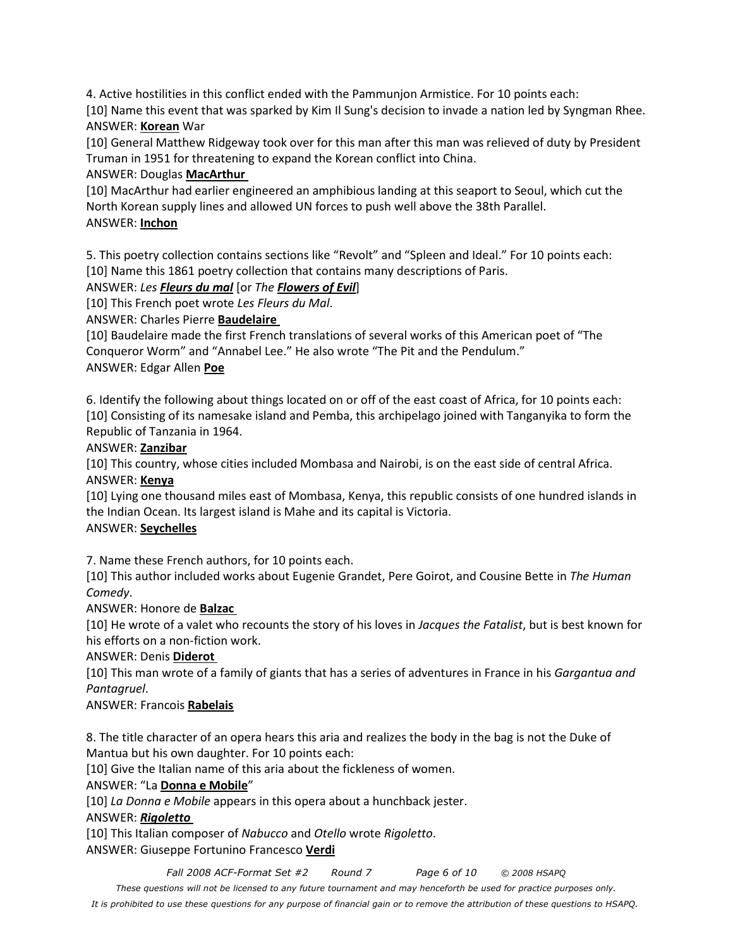4. Active hostilities in this conflict ended with the Pammunjon Armistice. For 10 points each:

[10] Name this event that was sparked by Kim Il Sung's decision to invade a nation led by Syngman Rhee. ANSWER: **Korean** War

[10] General Matthew Ridgeway took over for this man after this man was relieved of duty by President Truman in 1951 for threatening to expand the Korean conflict into China.

# ANSWER: Douglas **MacArthur**

[10] MacArthur had earlier engineered an amphibious landing at this seaport to Seoul, which cut the North Korean supply lines and allowed UN forces to push well above the 38th Parallel. ANSWER: **Inchon**

5. This poetry collection contains sections like "Revolt" and "Spleen and Ideal." For 10 points each: [10] Name this 1861 poetry collection that contains many descriptions of Paris.

# ANSWER: *Les Fleurs du mal* [or *The Flowers of Evil*]

[10] This French poet wrote *Les Fleurs du Mal*.

ANSWER: Charles Pierre **Baudelaire** 

[10] Baudelaire made the first French translations of several works of this American poet of "The Conqueror Worm" and "Annabel Lee." He also wrote "The Pit and the Pendulum." ANSWER: Edgar Allen **Poe**

6. Identify the following about things located on or off of the east coast of Africa, for 10 points each: [10] Consisting of its namesake island and Pemba, this archipelago joined with Tanganyika to form the Republic of Tanzania in 1964.

# ANSWER: **Zanzibar**

[10] This country, whose cities included Mombasa and Nairobi, is on the east side of central Africa. ANSWER: **Kenya**

[10] Lying one thousand miles east of Mombasa, Kenya, this republic consists of one hundred islands in the Indian Ocean. Its largest island is Mahe and its capital is Victoria.

## ANSWER: **Seychelles**

7. Name these French authors, for 10 points each.

[10] This author included works about Eugenie Grandet, Pere Goirot, and Cousine Bette in *The Human Comedy*.

# ANSWER: Honore de **Balzac**

[10] He wrote of a valet who recounts the story of his loves in *Jacques the Fatalist*, but is best known for his efforts on a non-fiction work.

## ANSWER: Denis **Diderot**

[10] This man wrote of a family of giants that has a series of adventures in France in his *Gargantua and Pantagruel*.

# ANSWER: Francois **Rabelais**

8. The title character of an opera hears this aria and realizes the body in the bag is not the Duke of Mantua but his own daughter. For 10 points each:

[10] Give the Italian name of this aria about the fickleness of women.

# ANSWER: "La **Donna e Mobile**"

[10] *La Donna e Mobile* appears in this opera about a hunchback jester.

## ANSWER: *Rigoletto*

[10] This Italian composer of *Nabucco* and *Otello* wrote *Rigoletto*.

ANSWER: Giuseppe Fortunino Francesco **Verdi**

*Fall 2008 ACF-Format Set #2 Round 7 Page 6 of 10 © 2008 HSAPQ* 

*These questions will not be licensed to any future tournament and may henceforth be used for practice purposes only.* 

*It is prohibited to use these questions for any purpose of financial gain or to remove the attribution of these questions to HSAPQ.*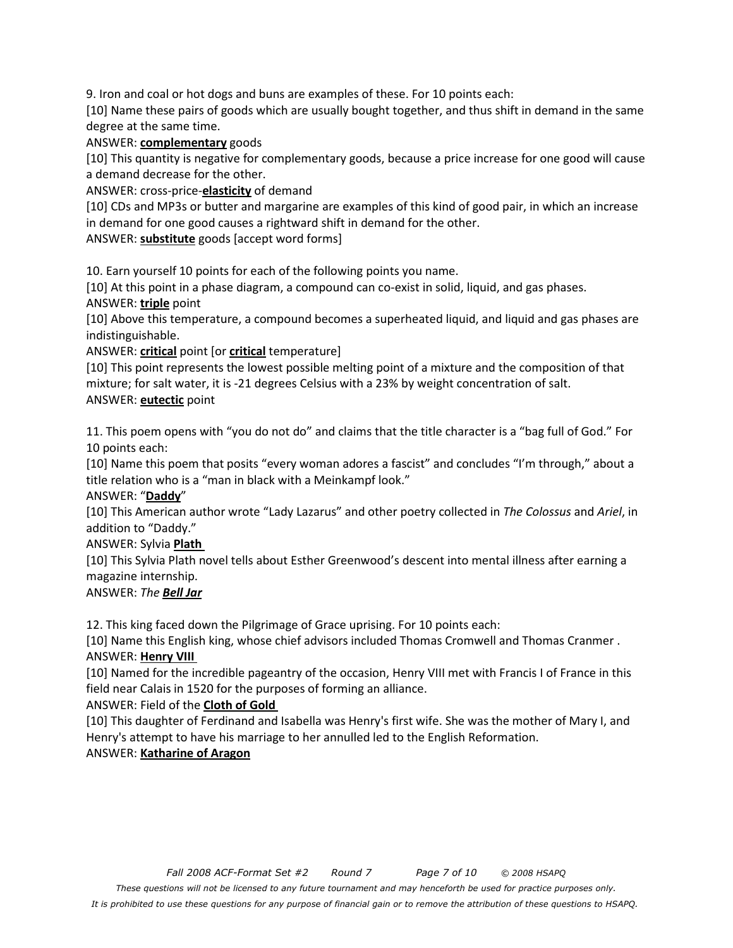9. Iron and coal or hot dogs and buns are examples of these. For 10 points each:

[10] Name these pairs of goods which are usually bought together, and thus shift in demand in the same degree at the same time.

#### ANSWER: **complementary** goods

[10] This quantity is negative for complementary goods, because a price increase for one good will cause a demand decrease for the other.

ANSWER: cross-price-**elasticity** of demand

[10] CDs and MP3s or butter and margarine are examples of this kind of good pair, in which an increase in demand for one good causes a rightward shift in demand for the other.

ANSWER: **substitute** goods [accept word forms]

10. Earn yourself 10 points for each of the following points you name.

[10] At this point in a phase diagram, a compound can co-exist in solid, liquid, and gas phases. ANSWER: **triple** point

[10] Above this temperature, a compound becomes a superheated liquid, and liquid and gas phases are indistinguishable.

ANSWER: **critical** point [or **critical** temperature]

[10] This point represents the lowest possible melting point of a mixture and the composition of that mixture; for salt water, it is -21 degrees Celsius with a 23% by weight concentration of salt. ANSWER: **eutectic** point

11. This poem opens with "you do not do" and claims that the title character is a "bag full of God." For 10 points each:

[10] Name this poem that posits "every woman adores a fascist" and concludes "I'm through," about a title relation who is a "man in black with a Meinkampf look."

#### ANSWER: "**Daddy**"

[10] This American author wrote "Lady Lazarus" and other poetry collected in *The Colossus* and *Ariel*, in addition to "Daddy."

## ANSWER: Sylvia **Plath**

[10] This Sylvia Plath novel tells about Esther Greenwood's descent into mental illness after earning a magazine internship.

## ANSWER: *The Bell Jar*

12. This king faced down the Pilgrimage of Grace uprising. For 10 points each:

[10] Name this English king, whose chief advisors included Thomas Cromwell and Thomas Cranmer . ANSWER: **Henry VIII** 

[10] Named for the incredible pageantry of the occasion, Henry VIII met with Francis I of France in this field near Calais in 1520 for the purposes of forming an alliance.

## ANSWER: Field of the **Cloth of Gold**

[10] This daughter of Ferdinand and Isabella was Henry's first wife. She was the mother of Mary I, and Henry's attempt to have his marriage to her annulled led to the English Reformation.

# ANSWER: **Katharine of Aragon**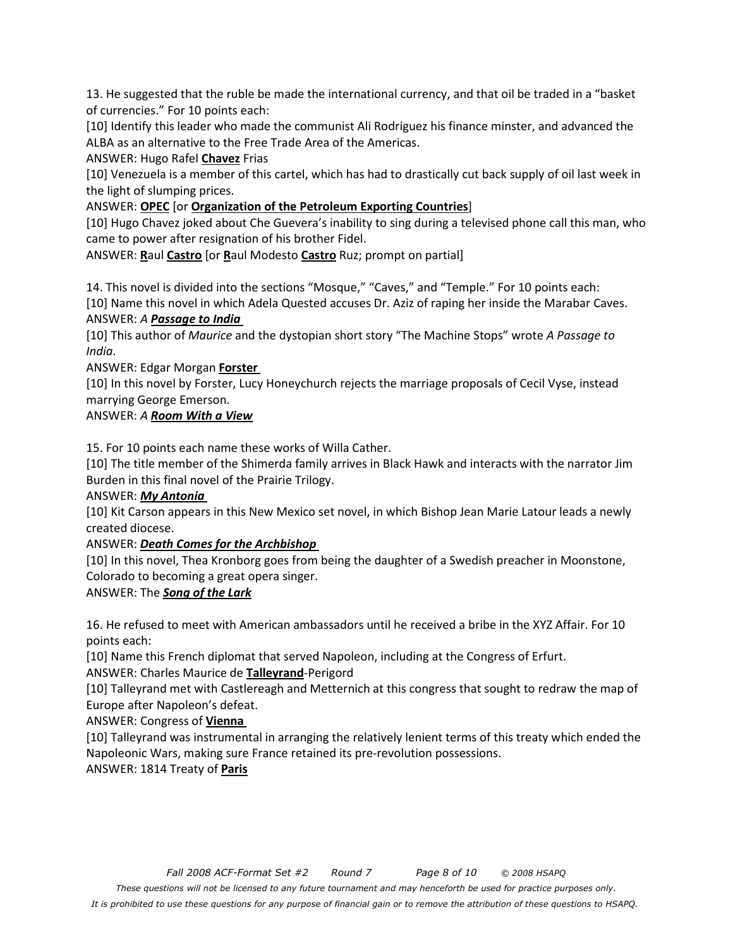13. He suggested that the ruble be made the international currency, and that oil be traded in a "basket of currencies." For 10 points each:

[10] Identify this leader who made the communist Ali Rodriguez his finance minster, and advanced the ALBA as an alternative to the Free Trade Area of the Americas.

ANSWER: Hugo Rafel **Chavez** Frias

[10] Venezuela is a member of this cartel, which has had to drastically cut back supply of oil last week in the light of slumping prices.

ANSWER: **OPEC** [or **Organization of the Petroleum Exporting Countries**]

[10] Hugo Chavez joked about Che Guevera's inability to sing during a televised phone call this man, who came to power after resignation of his brother Fidel.

ANSWER: **R**aul **Castro** [or **R**aul Modesto **Castro** Ruz; prompt on partial]

14. This novel is divided into the sections "Mosque," "Caves," and "Temple." For 10 points each: [10] Name this novel in which Adela Quested accuses Dr. Aziz of raping her inside the Marabar Caves. ANSWER: *A Passage to India* 

[10] This author of *Maurice* and the dystopian short story "The Machine Stops" wrote *A Passage to India*.

ANSWER: Edgar Morgan **Forster** 

[10] In this novel by Forster, Lucy Honeychurch rejects the marriage proposals of Cecil Vyse, instead marrying George Emerson.

# ANSWER: *A Room With a View*

15. For 10 points each name these works of Willa Cather.

[10] The title member of the Shimerda family arrives in Black Hawk and interacts with the narrator Jim Burden in this final novel of the Prairie Trilogy.

ANSWER: *My Antonia* 

[10] Kit Carson appears in this New Mexico set novel, in which Bishop Jean Marie Latour leads a newly created diocese.

## ANSWER: *Death Comes for the Archbishop*

[10] In this novel, Thea Kronborg goes from being the daughter of a Swedish preacher in Moonstone, Colorado to becoming a great opera singer.

ANSWER: The *Song of the Lark*

16. He refused to meet with American ambassadors until he received a bribe in the XYZ Affair. For 10 points each:

[10] Name this French diplomat that served Napoleon, including at the Congress of Erfurt.

ANSWER: Charles Maurice de **Talleyrand**-Perigord

[10] Talleyrand met with Castlereagh and Metternich at this congress that sought to redraw the map of Europe after Napoleon's defeat.

ANSWER: Congress of **Vienna** 

[10] Talleyrand was instrumental in arranging the relatively lenient terms of this treaty which ended the Napoleonic Wars, making sure France retained its pre-revolution possessions.

ANSWER: 1814 Treaty of **Paris**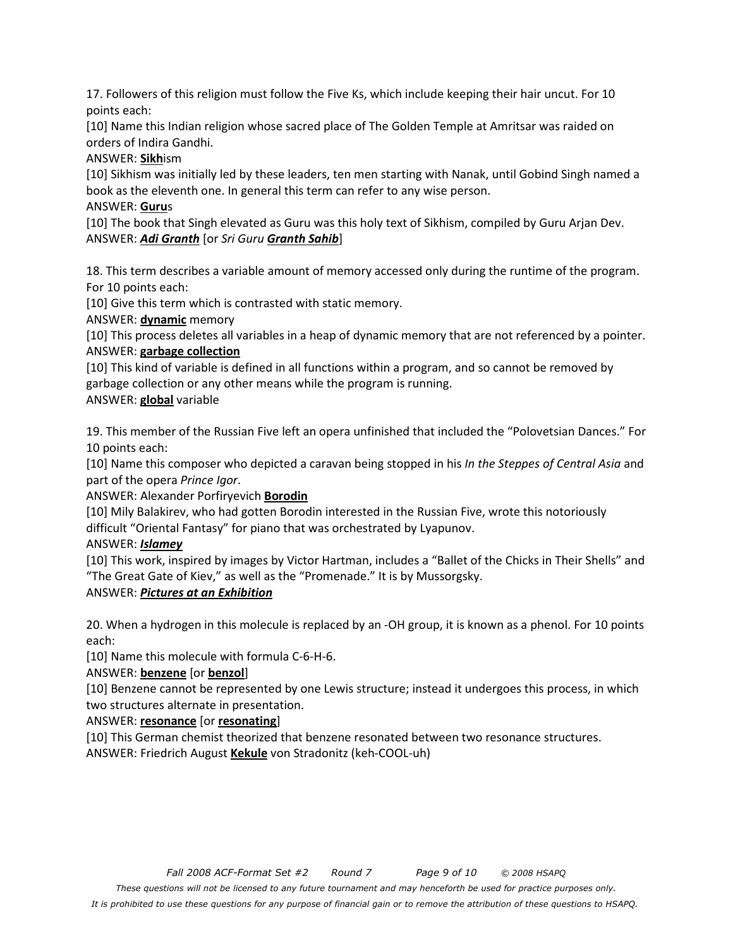17. Followers of this religion must follow the Five Ks, which include keeping their hair uncut. For 10 points each:

[10] Name this Indian religion whose sacred place of The Golden Temple at Amritsar was raided on orders of Indira Gandhi.

ANSWER: **Sikh**ism

[10] Sikhism was initially led by these leaders, ten men starting with Nanak, until Gobind Singh named a book as the eleventh one. In general this term can refer to any wise person.

#### ANSWER: **Guru**s

[10] The book that Singh elevated as Guru was this holy text of Sikhism, compiled by Guru Arjan Dev. ANSWER: *Adi Granth* [or *Sri Guru Granth Sahib*]

18. This term describes a variable amount of memory accessed only during the runtime of the program. For 10 points each:

[10] Give this term which is contrasted with static memory.

ANSWER: **dynamic** memory

[10] This process deletes all variables in a heap of dynamic memory that are not referenced by a pointer. ANSWER: **garbage collection**

[10] This kind of variable is defined in all functions within a program, and so cannot be removed by garbage collection or any other means while the program is running.

ANSWER: **global** variable

19. This member of the Russian Five left an opera unfinished that included the "Polovetsian Dances." For 10 points each:

[10] Name this composer who depicted a caravan being stopped in his *In the Steppes of Central Asia* and part of the opera *Prince Igor*.

ANSWER: Alexander Porfiryevich **Borodin**

[10] Mily Balakirev, who had gotten Borodin interested in the Russian Five, wrote this notoriously difficult "Oriental Fantasy" for piano that was orchestrated by Lyapunov.

ANSWER: *Islamey*

[10] This work, inspired by images by Victor Hartman, includes a "Ballet of the Chicks in Their Shells" and "The Great Gate of Kiev," as well as the "Promenade." It is by Mussorgsky.

## ANSWER: *Pictures at an Exhibition*

20. When a hydrogen in this molecule is replaced by an -OH group, it is known as a phenol. For 10 points each:

[10] Name this molecule with formula C-6-H-6.

ANSWER: **benzene** [or **benzol**]

[10] Benzene cannot be represented by one Lewis structure; instead it undergoes this process, in which two structures alternate in presentation.

ANSWER: **resonance** [or **resonating**]

[10] This German chemist theorized that benzene resonated between two resonance structures. ANSWER: Friedrich August **Kekule** von Stradonitz (keh-COOL-uh)